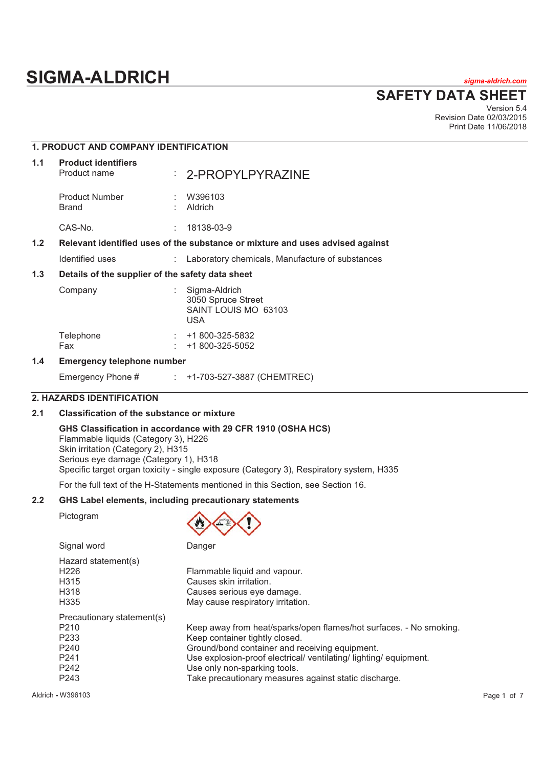# **SIGMA-ALDRICH** *sigma-aldrich.com*

**SAFETY DATA SHEET**

Version 5.4 Revision Date 02/03/2015 Print Date 11/06/2018

# **1. PRODUCT AND COMPANY IDENTIFICATION 1.1 Product identifiers**  Product name : 2-PROPYLPYRAZINE Product Number : W396103<br>Brand : Aldrich **Aldrich** CAS-No. : 18138-03-9 **1.2 Relevant identified uses of the substance or mixture and uses advised against**  Identified uses : Laboratory chemicals, Manufacture of substances **1.3 Details of the supplier of the safety data sheet**  Company : Sigma-Aldrich 3050 Spruce Street SAINT LOUIS MO 63103 USA Telephone : +1 800-325-5832 Fax : +1 800-325-5052

#### **1.4 Emergency telephone number**

Emergency Phone # : +1-703-527-3887 (CHEMTREC)

#### **2. HAZARDS IDENTIFICATION**

#### **2.1 Classification of the substance or mixture**

Signal word Danger

#### **GHS Classification in accordance with 29 CFR 1910 (OSHA HCS)**

Flammable liquids (Category 3), H226 Skin irritation (Category 2), H315 Serious eye damage (Category 1), H318 Specific target organ toxicity - single exposure (Category 3), Respiratory system, H335

For the full text of the H-Statements mentioned in this Section, see Section 16.

#### **2.2 GHS Label elements, including precautionary statements**

Pictogram



| uquu wuu                                                                                                                               | <u>oungon</u>                                                                                                                                                                                                                                                                                                        |
|----------------------------------------------------------------------------------------------------------------------------------------|----------------------------------------------------------------------------------------------------------------------------------------------------------------------------------------------------------------------------------------------------------------------------------------------------------------------|
| Hazard statement(s)<br>H <sub>226</sub><br>H <sub>3</sub> 15<br>H318<br>H335                                                           | Flammable liquid and vapour.<br>Causes skin irritation.<br>Causes serious eye damage.<br>May cause respiratory irritation.                                                                                                                                                                                           |
| Precautionary statement(s)<br>P <sub>210</sub><br>P <sub>233</sub><br>P <sub>240</sub><br>P <sub>241</sub><br>P242<br>P <sub>243</sub> | Keep away from heat/sparks/open flames/hot surfaces. - No smoking.<br>Keep container tightly closed.<br>Ground/bond container and receiving equipment.<br>Use explosion-proof electrical/ ventilating/ lighting/ equipment.<br>Use only non-sparking tools.<br>Take precautionary measures against static discharge. |

Aldrich **-** W396103 Page 1 of 7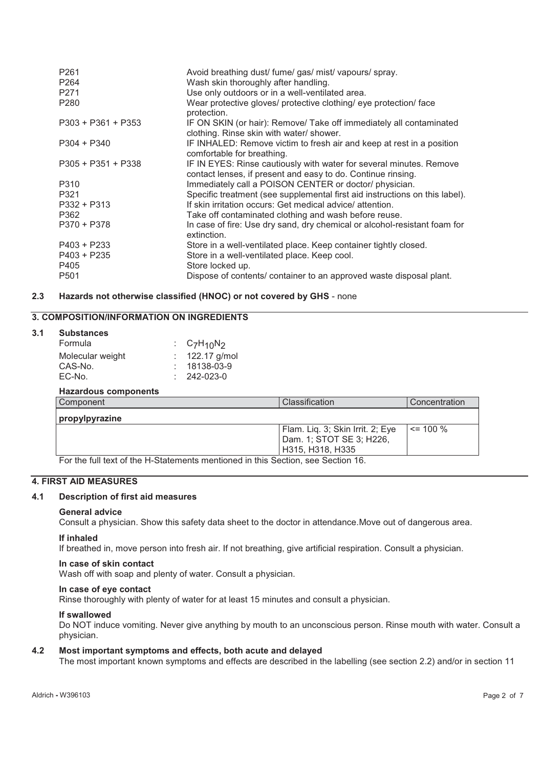| P <sub>261</sub><br>P <sub>264</sub><br>P <sub>271</sub><br>P <sub>280</sub> | Avoid breathing dust/ fume/ gas/ mist/ vapours/ spray.<br>Wash skin thoroughly after handling.<br>Use only outdoors or in a well-ventilated area.<br>Wear protective gloves/ protective clothing/ eye protection/ face<br>protection. |
|------------------------------------------------------------------------------|---------------------------------------------------------------------------------------------------------------------------------------------------------------------------------------------------------------------------------------|
| $P303 + P361 + P353$                                                         | IF ON SKIN (or hair): Remove/ Take off immediately all contaminated<br>clothing. Rinse skin with water/ shower.                                                                                                                       |
| $P304 + P340$                                                                | IF INHALED: Remove victim to fresh air and keep at rest in a position<br>comfortable for breathing.                                                                                                                                   |
| $P305 + P351 + P338$                                                         | IF IN EYES: Rinse cautiously with water for several minutes. Remove<br>contact lenses, if present and easy to do. Continue rinsing.                                                                                                   |
| P310                                                                         | Immediately call a POISON CENTER or doctor/ physician.                                                                                                                                                                                |
| P321                                                                         | Specific treatment (see supplemental first aid instructions on this label).                                                                                                                                                           |
| $P332 + P313$                                                                | If skin irritation occurs: Get medical advice/ attention.                                                                                                                                                                             |
| P362                                                                         | Take off contaminated clothing and wash before reuse.                                                                                                                                                                                 |
| $P370 + P378$                                                                | In case of fire: Use dry sand, dry chemical or alcohol-resistant foam for<br>extinction.                                                                                                                                              |
| $P403 + P233$                                                                | Store in a well-ventilated place. Keep container tightly closed.                                                                                                                                                                      |
| $P403 + P235$                                                                | Store in a well-ventilated place. Keep cool.                                                                                                                                                                                          |
| P405                                                                         | Store locked up.                                                                                                                                                                                                                      |
| P <sub>501</sub>                                                             | Dispose of contents/ container to an approved waste disposal plant.                                                                                                                                                                   |

# **2.3 Hazards not otherwise classified (HNOC) or not covered by GHS** - none

# **3. COMPOSITION/INFORMATION ON INGREDIENTS**

#### **3.1 Substances**

| Formula          | : $C_7H_{10}N_2$  |
|------------------|-------------------|
| Molecular weight | $: 122.17$ g/mol  |
| CAS-No.          | $: 18138-03-9$    |
| EC-No.           | $: 242 - 023 - 0$ |
|                  |                   |

#### **Hazardous components**

| Component      | Classification                                                                   | Concentration |
|----------------|----------------------------------------------------------------------------------|---------------|
| propylpyrazine |                                                                                  |               |
|                | Flam. Liq. 3; Skin Irrit. 2; Eye<br>Dam. 1; STOT SE 3; H226,<br>H315, H318, H335 | $\leq$ 100 %  |

For the full text of the H-Statements mentioned in this Section, see Section 16.

#### **4. FIRST AID MEASURES**

#### **4.1 Description of first aid measures**

#### **General advice**

Consult a physician. Show this safety data sheet to the doctor in attendance.Move out of dangerous area.

#### **If inhaled**

If breathed in, move person into fresh air. If not breathing, give artificial respiration. Consult a physician.

#### **In case of skin contact**

Wash off with soap and plenty of water. Consult a physician.

#### **In case of eye contact**

Rinse thoroughly with plenty of water for at least 15 minutes and consult a physician.

#### **If swallowed**

Do NOT induce vomiting. Never give anything by mouth to an unconscious person. Rinse mouth with water. Consult a physician.

#### **4.2 Most important symptoms and effects, both acute and delayed**

The most important known symptoms and effects are described in the labelling (see section 2.2) and/or in section 11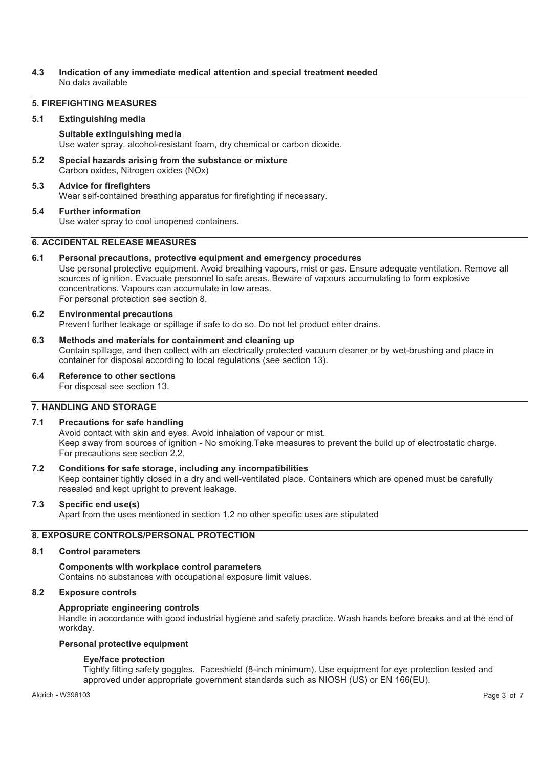#### **4.3 Indication of any immediate medical attention and special treatment needed**  No data available

#### **5. FIREFIGHTING MEASURES**

#### **5.1 Extinguishing media**

#### **Suitable extinguishing media**

Use water spray, alcohol-resistant foam, dry chemical or carbon dioxide.

**5.2 Special hazards arising from the substance or mixture**  Carbon oxides, Nitrogen oxides (NOx)

# **5.3 Advice for firefighters**

Wear self-contained breathing apparatus for firefighting if necessary.

#### **5.4 Further information**

Use water spray to cool unopened containers.

#### **6. ACCIDENTAL RELEASE MEASURES**

#### **6.1 Personal precautions, protective equipment and emergency procedures**

Use personal protective equipment. Avoid breathing vapours, mist or gas. Ensure adequate ventilation. Remove all sources of ignition. Evacuate personnel to safe areas. Beware of vapours accumulating to form explosive concentrations. Vapours can accumulate in low areas. For personal protection see section 8.

#### **6.2 Environmental precautions**

Prevent further leakage or spillage if safe to do so. Do not let product enter drains.

#### **6.3 Methods and materials for containment and cleaning up**

Contain spillage, and then collect with an electrically protected vacuum cleaner or by wet-brushing and place in container for disposal according to local regulations (see section 13).

#### **6.4 Reference to other sections**

For disposal see section 13.

#### **7. HANDLING AND STORAGE**

#### **7.1 Precautions for safe handling**

Avoid contact with skin and eyes. Avoid inhalation of vapour or mist. Keep away from sources of ignition - No smoking.Take measures to prevent the build up of electrostatic charge. For precautions see section 2.2.

#### **7.2 Conditions for safe storage, including any incompatibilities**

Keep container tightly closed in a dry and well-ventilated place. Containers which are opened must be carefully resealed and kept upright to prevent leakage.

#### **7.3 Specific end use(s)**

Apart from the uses mentioned in section 1.2 no other specific uses are stipulated

### **8. EXPOSURE CONTROLS/PERSONAL PROTECTION**

#### **8.1 Control parameters**

**Components with workplace control parameters**  Contains no substances with occupational exposure limit values.

#### **8.2 Exposure controls**

#### **Appropriate engineering controls**

Handle in accordance with good industrial hygiene and safety practice. Wash hands before breaks and at the end of workday.

#### **Personal protective equipment**

#### **Eye/face protection**

Tightly fitting safety goggles. Faceshield (8-inch minimum). Use equipment for eye protection tested and approved under appropriate government standards such as NIOSH (US) or EN 166(EU).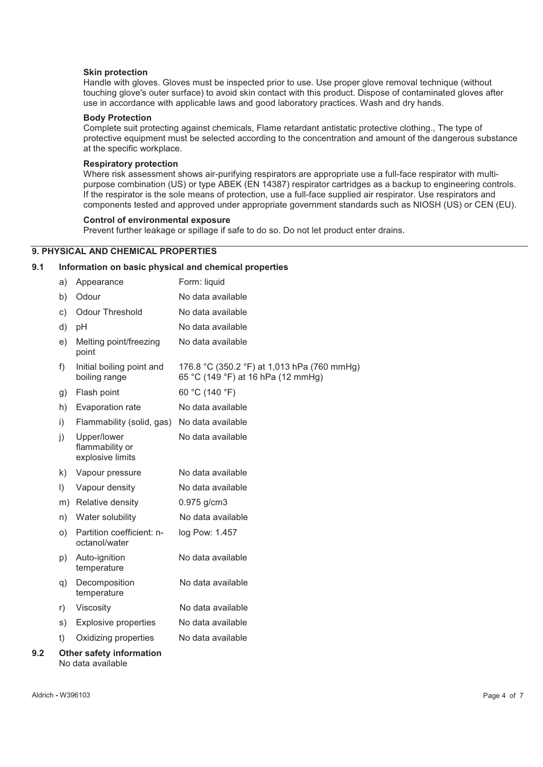#### **Skin protection**

Handle with gloves. Gloves must be inspected prior to use. Use proper glove removal technique (without touching glove's outer surface) to avoid skin contact with this product. Dispose of contaminated gloves after use in accordance with applicable laws and good laboratory practices. Wash and dry hands.

#### **Body Protection**

Complete suit protecting against chemicals, Flame retardant antistatic protective clothing., The type of protective equipment must be selected according to the concentration and amount of the dangerous substance at the specific workplace.

#### **Respiratory protection**

Where risk assessment shows air-purifying respirators are appropriate use a full-face respirator with multipurpose combination (US) or type ABEK (EN 14387) respirator cartridges as a backup to engineering controls. If the respirator is the sole means of protection, use a full-face supplied air respirator. Use respirators and components tested and approved under appropriate government standards such as NIOSH (US) or CEN (EU).

#### **Control of environmental exposure**

Prevent further leakage or spillage if safe to do so. Do not let product enter drains.

### **9. PHYSICAL AND CHEMICAL PROPERTIES**

#### **9.1 Information on basic physical and chemical properties**

|     | a)        | Appearance                                           | Form: liquid                                                                      |
|-----|-----------|------------------------------------------------------|-----------------------------------------------------------------------------------|
|     | b)        | Odour                                                | No data available                                                                 |
|     | c)        | <b>Odour Threshold</b>                               | No data available                                                                 |
|     | d)        | pH                                                   | No data available                                                                 |
|     | e)        | Melting point/freezing<br>point                      | No data available                                                                 |
|     | f)        | Initial boiling point and<br>boiling range           | 176.8 °C (350.2 °F) at 1,013 hPa (760 mmHg)<br>65 °C (149 °F) at 16 hPa (12 mmHg) |
|     | g)        | Flash point                                          | 60 °C (140 °F)                                                                    |
|     | h)        | Evaporation rate                                     | No data available                                                                 |
|     | i)        | Flammability (solid, gas) No data available          |                                                                                   |
|     | j)        | Upper/lower<br>flammability or<br>explosive limits   | No data available                                                                 |
|     | k)        | Vapour pressure                                      | No data available                                                                 |
|     | $\vert$ ) | Vapour density                                       | No data available                                                                 |
|     |           | m) Relative density                                  | $0.975$ g/cm3                                                                     |
|     | n)        | Water solubility                                     | No data available                                                                 |
|     | O)        | Partition coefficient: n-<br>octanol/water           | log Pow: 1.457                                                                    |
|     | p)        | Auto-ignition<br>temperature                         | No data available                                                                 |
|     | q)        | Decomposition<br>temperature                         | No data available                                                                 |
|     | r)        | Viscosity                                            | No data available                                                                 |
|     | s)        | <b>Explosive properties</b>                          | No data available                                                                 |
|     | t)        | Oxidizing properties                                 | No data available                                                                 |
| 9.2 |           | <b>Other safety information</b><br>No data available |                                                                                   |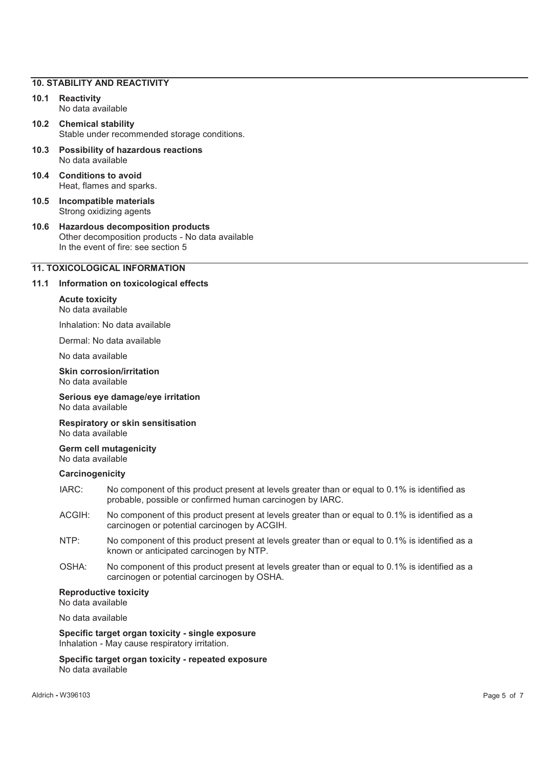#### **10. STABILITY AND REACTIVITY**

- **10.1 Reactivity**  No data available
- **10.2 Chemical stability**  Stable under recommended storage conditions.
- **10.3 Possibility of hazardous reactions**  No data available
- **10.4 Conditions to avoid**  Heat, flames and sparks.
- **10.5 Incompatible materials**  Strong oxidizing agents
- **10.6 Hazardous decomposition products**  Other decomposition products - No data available In the event of fire: see section 5

#### **11. TOXICOLOGICAL INFORMATION**

#### **11.1 Information on toxicological effects**

# **Acute toxicity**

No data available

Inhalation: No data available

Dermal: No data available

No data available

**Skin corrosion/irritation**  No data available

**Serious eye damage/eye irritation**  No data available

**Respiratory or skin sensitisation**  No data available

**Germ cell mutagenicity**  No data available

#### **Carcinogenicity**

- IARC: No component of this product present at levels greater than or equal to 0.1% is identified as probable, possible or confirmed human carcinogen by IARC.
- ACGIH: No component of this product present at levels greater than or equal to 0.1% is identified as a carcinogen or potential carcinogen by ACGIH.
- NTP: No component of this product present at levels greater than or equal to 0.1% is identified as a known or anticipated carcinogen by NTP.
- OSHA: No component of this product present at levels greater than or equal to 0.1% is identified as a carcinogen or potential carcinogen by OSHA.

#### **Reproductive toxicity**

No data available

No data available

**Specific target organ toxicity - single exposure**  Inhalation - May cause respiratory irritation.

**Specific target organ toxicity - repeated exposure**  No data available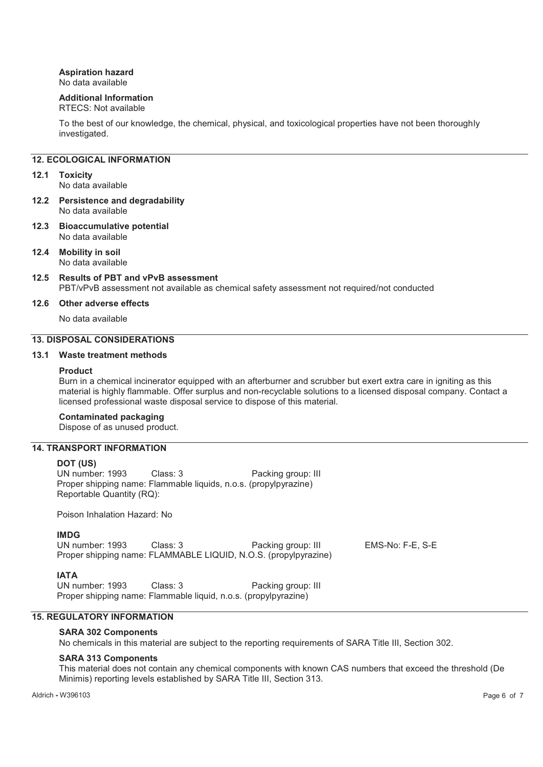### **Aspiration hazard**

No data available

#### **Additional Information**

#### RTECS: Not available

To the best of our knowledge, the chemical, physical, and toxicological properties have not been thoroughly investigated.

#### **12. ECOLOGICAL INFORMATION**

#### **12.1 Toxicity**

No data available

- **12.2 Persistence and degradability**  No data available
- **12.3 Bioaccumulative potential**  No data available
- **12.4 Mobility in soil**  No data available
- **12.5 Results of PBT and vPvB assessment**  PBT/vPvB assessment not available as chemical safety assessment not required/not conducted

#### **12.6 Other adverse effects**

No data available

#### **13. DISPOSAL CONSIDERATIONS**

#### **13.1 Waste treatment methods**

#### **Product**

Burn in a chemical incinerator equipped with an afterburner and scrubber but exert extra care in igniting as this material is highly flammable. Offer surplus and non-recyclable solutions to a licensed disposal company. Contact a licensed professional waste disposal service to dispose of this material.

#### **Contaminated packaging**

Dispose of as unused product.

# **14. TRANSPORT INFORMATION**

**DOT (US)**<br>UN number: 1993 Class: 3 Packing group: III Proper shipping name: Flammable liquids, n.o.s. (propylpyrazine) Reportable Quantity (RQ):

Poison Inhalation Hazard: No

#### **IMDG**

UN number: 1993 Class: 3 Packing group: III EMS-No: F-E, S-E Proper shipping name: FLAMMABLE LIQUID, N.O.S. (propylpyrazine)

**IATA**<br>UN number: 1993 Class: 3 Packing group: III Proper shipping name: Flammable liquid, n.o.s. (propylpyrazine)

#### **15. REGULATORY INFORMATION**

#### **SARA 302 Components**

No chemicals in this material are subject to the reporting requirements of SARA Title III, Section 302.

#### **SARA 313 Components**

This material does not contain any chemical components with known CAS numbers that exceed the threshold (De Minimis) reporting levels established by SARA Title III, Section 313.